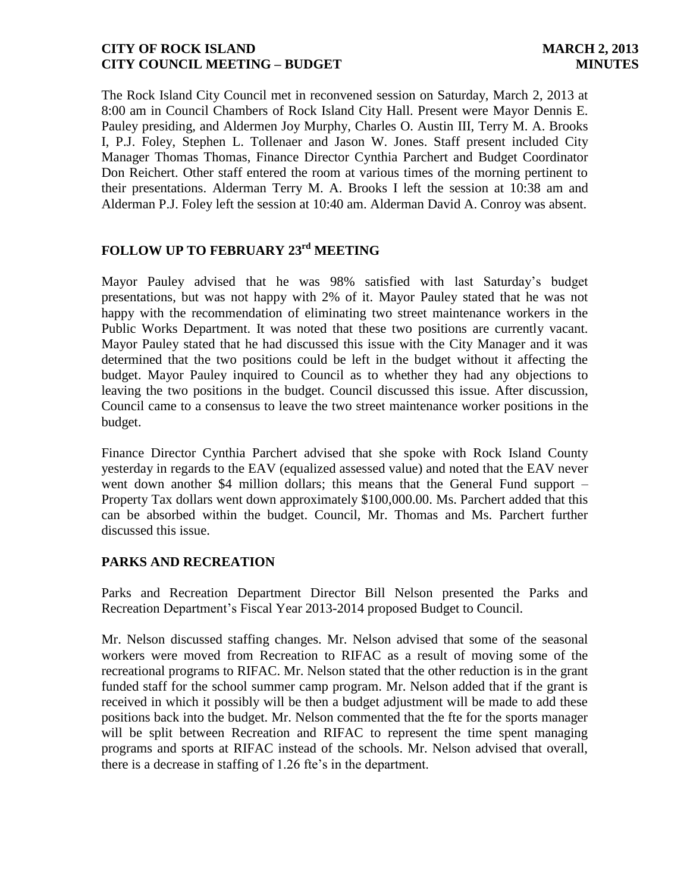The Rock Island City Council met in reconvened session on Saturday, March 2, 2013 at 8:00 am in Council Chambers of Rock Island City Hall. Present were Mayor Dennis E. Pauley presiding, and Aldermen Joy Murphy, Charles O. Austin III, Terry M. A. Brooks I, P.J. Foley, Stephen L. Tollenaer and Jason W. Jones. Staff present included City Manager Thomas Thomas, Finance Director Cynthia Parchert and Budget Coordinator Don Reichert. Other staff entered the room at various times of the morning pertinent to their presentations. Alderman Terry M. A. Brooks I left the session at 10:38 am and Alderman P.J. Foley left the session at 10:40 am. Alderman David A. Conroy was absent.

# **FOLLOW UP TO FEBRUARY 23 rd MEETING**

Mayor Pauley advised that he was 98% satisfied with last Saturday's budget presentations, but was not happy with 2% of it. Mayor Pauley stated that he was not happy with the recommendation of eliminating two street maintenance workers in the Public Works Department. It was noted that these two positions are currently vacant. Mayor Pauley stated that he had discussed this issue with the City Manager and it was determined that the two positions could be left in the budget without it affecting the budget. Mayor Pauley inquired to Council as to whether they had any objections to leaving the two positions in the budget. Council discussed this issue. After discussion, Council came to a consensus to leave the two street maintenance worker positions in the budget.

Finance Director Cynthia Parchert advised that she spoke with Rock Island County yesterday in regards to the EAV (equalized assessed value) and noted that the EAV never went down another \$4 million dollars; this means that the General Fund support – Property Tax dollars went down approximately \$100,000.00. Ms. Parchert added that this can be absorbed within the budget. Council, Mr. Thomas and Ms. Parchert further discussed this issue.

#### **PARKS AND RECREATION**

Parks and Recreation Department Director Bill Nelson presented the Parks and Recreation Department's Fiscal Year 2013-2014 proposed Budget to Council.

Mr. Nelson discussed staffing changes. Mr. Nelson advised that some of the seasonal workers were moved from Recreation to RIFAC as a result of moving some of the recreational programs to RIFAC. Mr. Nelson stated that the other reduction is in the grant funded staff for the school summer camp program. Mr. Nelson added that if the grant is received in which it possibly will be then a budget adjustment will be made to add these positions back into the budget. Mr. Nelson commented that the fte for the sports manager will be split between Recreation and RIFAC to represent the time spent managing programs and sports at RIFAC instead of the schools. Mr. Nelson advised that overall, there is a decrease in staffing of 1.26 fte's in the department.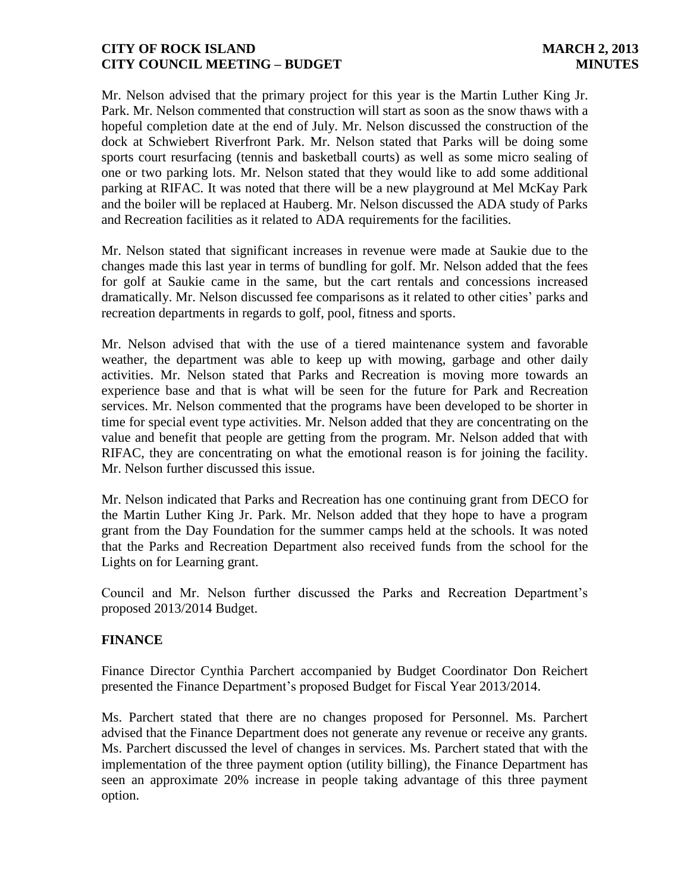Mr. Nelson advised that the primary project for this year is the Martin Luther King Jr. Park. Mr. Nelson commented that construction will start as soon as the snow thaws with a hopeful completion date at the end of July. Mr. Nelson discussed the construction of the dock at Schwiebert Riverfront Park. Mr. Nelson stated that Parks will be doing some sports court resurfacing (tennis and basketball courts) as well as some micro sealing of one or two parking lots. Mr. Nelson stated that they would like to add some additional parking at RIFAC. It was noted that there will be a new playground at Mel McKay Park and the boiler will be replaced at Hauberg. Mr. Nelson discussed the ADA study of Parks and Recreation facilities as it related to ADA requirements for the facilities.

Mr. Nelson stated that significant increases in revenue were made at Saukie due to the changes made this last year in terms of bundling for golf. Mr. Nelson added that the fees for golf at Saukie came in the same, but the cart rentals and concessions increased dramatically. Mr. Nelson discussed fee comparisons as it related to other cities' parks and recreation departments in regards to golf, pool, fitness and sports.

Mr. Nelson advised that with the use of a tiered maintenance system and favorable weather, the department was able to keep up with mowing, garbage and other daily activities. Mr. Nelson stated that Parks and Recreation is moving more towards an experience base and that is what will be seen for the future for Park and Recreation services. Mr. Nelson commented that the programs have been developed to be shorter in time for special event type activities. Mr. Nelson added that they are concentrating on the value and benefit that people are getting from the program. Mr. Nelson added that with RIFAC, they are concentrating on what the emotional reason is for joining the facility. Mr. Nelson further discussed this issue.

Mr. Nelson indicated that Parks and Recreation has one continuing grant from DECO for the Martin Luther King Jr. Park. Mr. Nelson added that they hope to have a program grant from the Day Foundation for the summer camps held at the schools. It was noted that the Parks and Recreation Department also received funds from the school for the Lights on for Learning grant.

Council and Mr. Nelson further discussed the Parks and Recreation Department's proposed 2013/2014 Budget.

#### **FINANCE**

Finance Director Cynthia Parchert accompanied by Budget Coordinator Don Reichert presented the Finance Department's proposed Budget for Fiscal Year 2013/2014.

Ms. Parchert stated that there are no changes proposed for Personnel. Ms. Parchert advised that the Finance Department does not generate any revenue or receive any grants. Ms. Parchert discussed the level of changes in services. Ms. Parchert stated that with the implementation of the three payment option (utility billing), the Finance Department has seen an approximate 20% increase in people taking advantage of this three payment option.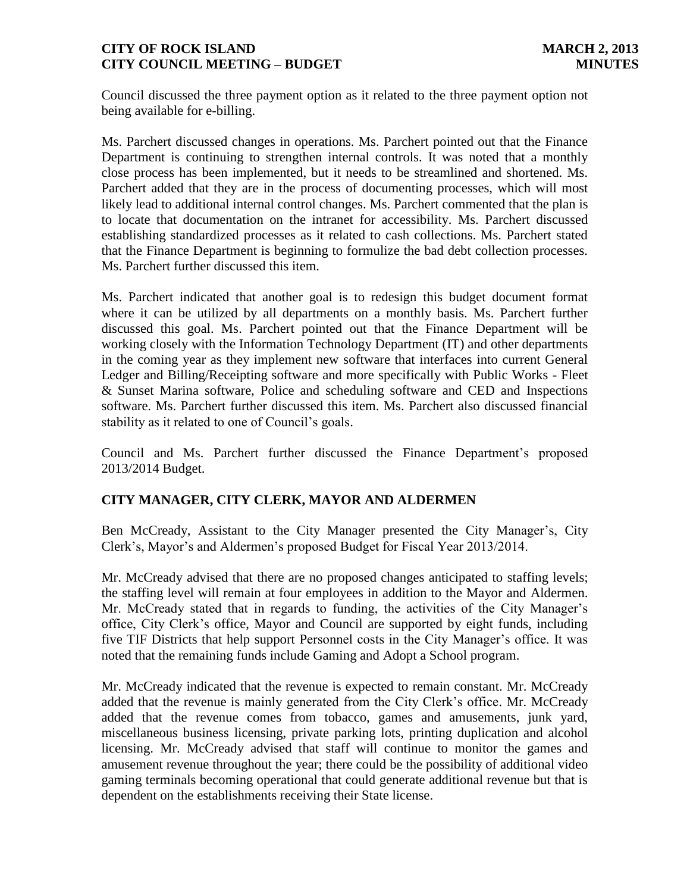Council discussed the three payment option as it related to the three payment option not being available for e-billing.

Ms. Parchert discussed changes in operations. Ms. Parchert pointed out that the Finance Department is continuing to strengthen internal controls. It was noted that a monthly close process has been implemented, but it needs to be streamlined and shortened. Ms. Parchert added that they are in the process of documenting processes, which will most likely lead to additional internal control changes. Ms. Parchert commented that the plan is to locate that documentation on the intranet for accessibility. Ms. Parchert discussed establishing standardized processes as it related to cash collections. Ms. Parchert stated that the Finance Department is beginning to formulize the bad debt collection processes. Ms. Parchert further discussed this item.

Ms. Parchert indicated that another goal is to redesign this budget document format where it can be utilized by all departments on a monthly basis. Ms. Parchert further discussed this goal. Ms. Parchert pointed out that the Finance Department will be working closely with the Information Technology Department (IT) and other departments in the coming year as they implement new software that interfaces into current General Ledger and Billing/Receipting software and more specifically with Public Works - Fleet & Sunset Marina software, Police and scheduling software and CED and Inspections software. Ms. Parchert further discussed this item. Ms. Parchert also discussed financial stability as it related to one of Council's goals.

Council and Ms. Parchert further discussed the Finance Department's proposed 2013/2014 Budget.

# **CITY MANAGER, CITY CLERK, MAYOR AND ALDERMEN**

Ben McCready, Assistant to the City Manager presented the City Manager's, City Clerk's, Mayor's and Aldermen's proposed Budget for Fiscal Year 2013/2014.

Mr. McCready advised that there are no proposed changes anticipated to staffing levels; the staffing level will remain at four employees in addition to the Mayor and Aldermen. Mr. McCready stated that in regards to funding, the activities of the City Manager's office, City Clerk's office, Mayor and Council are supported by eight funds, including five TIF Districts that help support Personnel costs in the City Manager's office. It was noted that the remaining funds include Gaming and Adopt a School program.

Mr. McCready indicated that the revenue is expected to remain constant. Mr. McCready added that the revenue is mainly generated from the City Clerk's office. Mr. McCready added that the revenue comes from tobacco, games and amusements, junk yard, miscellaneous business licensing, private parking lots, printing duplication and alcohol licensing. Mr. McCready advised that staff will continue to monitor the games and amusement revenue throughout the year; there could be the possibility of additional video gaming terminals becoming operational that could generate additional revenue but that is dependent on the establishments receiving their State license.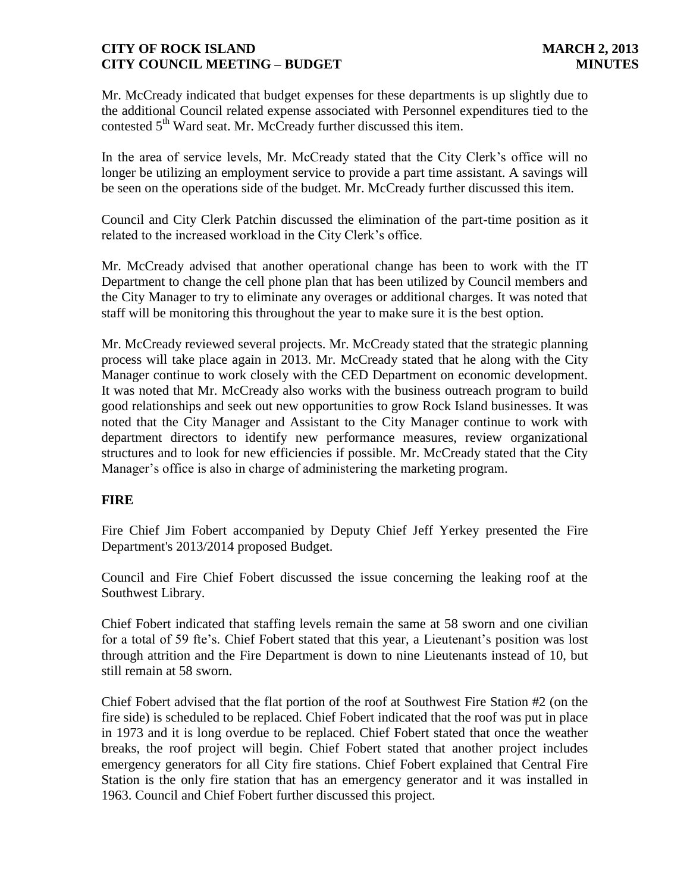Mr. McCready indicated that budget expenses for these departments is up slightly due to the additional Council related expense associated with Personnel expenditures tied to the contested 5<sup>th</sup> Ward seat. Mr. McCready further discussed this item.

In the area of service levels, Mr. McCready stated that the City Clerk's office will no longer be utilizing an employment service to provide a part time assistant. A savings will be seen on the operations side of the budget. Mr. McCready further discussed this item.

Council and City Clerk Patchin discussed the elimination of the part-time position as it related to the increased workload in the City Clerk's office.

Mr. McCready advised that another operational change has been to work with the IT Department to change the cell phone plan that has been utilized by Council members and the City Manager to try to eliminate any overages or additional charges. It was noted that staff will be monitoring this throughout the year to make sure it is the best option.

Mr. McCready reviewed several projects. Mr. McCready stated that the strategic planning process will take place again in 2013. Mr. McCready stated that he along with the City Manager continue to work closely with the CED Department on economic development. It was noted that Mr. McCready also works with the business outreach program to build good relationships and seek out new opportunities to grow Rock Island businesses. It was noted that the City Manager and Assistant to the City Manager continue to work with department directors to identify new performance measures, review organizational structures and to look for new efficiencies if possible. Mr. McCready stated that the City Manager's office is also in charge of administering the marketing program.

#### **FIRE**

Fire Chief Jim Fobert accompanied by Deputy Chief Jeff Yerkey presented the Fire Department's 2013/2014 proposed Budget.

Council and Fire Chief Fobert discussed the issue concerning the leaking roof at the Southwest Library.

Chief Fobert indicated that staffing levels remain the same at 58 sworn and one civilian for a total of 59 fte's. Chief Fobert stated that this year, a Lieutenant's position was lost through attrition and the Fire Department is down to nine Lieutenants instead of 10, but still remain at 58 sworn.

Chief Fobert advised that the flat portion of the roof at Southwest Fire Station #2 (on the fire side) is scheduled to be replaced. Chief Fobert indicated that the roof was put in place in 1973 and it is long overdue to be replaced. Chief Fobert stated that once the weather breaks, the roof project will begin. Chief Fobert stated that another project includes emergency generators for all City fire stations. Chief Fobert explained that Central Fire Station is the only fire station that has an emergency generator and it was installed in 1963. Council and Chief Fobert further discussed this project.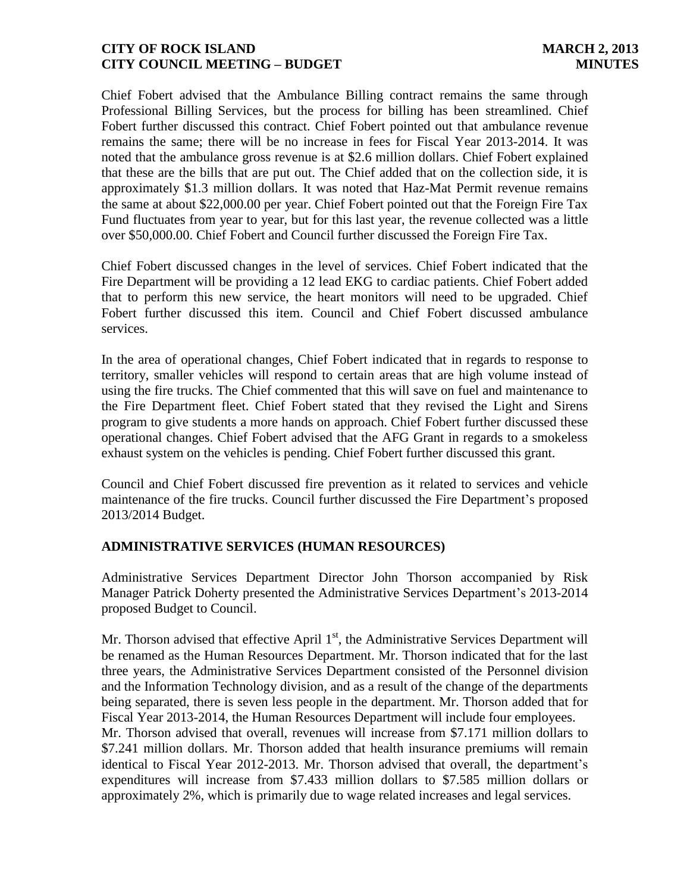Chief Fobert advised that the Ambulance Billing contract remains the same through Professional Billing Services, but the process for billing has been streamlined. Chief Fobert further discussed this contract. Chief Fobert pointed out that ambulance revenue remains the same; there will be no increase in fees for Fiscal Year 2013-2014. It was noted that the ambulance gross revenue is at \$2.6 million dollars. Chief Fobert explained that these are the bills that are put out. The Chief added that on the collection side, it is approximately \$1.3 million dollars. It was noted that Haz-Mat Permit revenue remains the same at about \$22,000.00 per year. Chief Fobert pointed out that the Foreign Fire Tax Fund fluctuates from year to year, but for this last year, the revenue collected was a little over \$50,000.00. Chief Fobert and Council further discussed the Foreign Fire Tax.

Chief Fobert discussed changes in the level of services. Chief Fobert indicated that the Fire Department will be providing a 12 lead EKG to cardiac patients. Chief Fobert added that to perform this new service, the heart monitors will need to be upgraded. Chief Fobert further discussed this item. Council and Chief Fobert discussed ambulance services.

In the area of operational changes, Chief Fobert indicated that in regards to response to territory, smaller vehicles will respond to certain areas that are high volume instead of using the fire trucks. The Chief commented that this will save on fuel and maintenance to the Fire Department fleet. Chief Fobert stated that they revised the Light and Sirens program to give students a more hands on approach. Chief Fobert further discussed these operational changes. Chief Fobert advised that the AFG Grant in regards to a smokeless exhaust system on the vehicles is pending. Chief Fobert further discussed this grant.

Council and Chief Fobert discussed fire prevention as it related to services and vehicle maintenance of the fire trucks. Council further discussed the Fire Department's proposed 2013/2014 Budget.

#### **ADMINISTRATIVE SERVICES (HUMAN RESOURCES)**

Administrative Services Department Director John Thorson accompanied by Risk Manager Patrick Doherty presented the Administrative Services Department's 2013-2014 proposed Budget to Council.

Mr. Thorson advised that effective April  $1<sup>st</sup>$ , the Administrative Services Department will be renamed as the Human Resources Department. Mr. Thorson indicated that for the last three years, the Administrative Services Department consisted of the Personnel division and the Information Technology division, and as a result of the change of the departments being separated, there is seven less people in the department. Mr. Thorson added that for Fiscal Year 2013-2014, the Human Resources Department will include four employees. Mr. Thorson advised that overall, revenues will increase from \$7.171 million dollars to \$7.241 million dollars. Mr. Thorson added that health insurance premiums will remain identical to Fiscal Year 2012-2013. Mr. Thorson advised that overall, the department's expenditures will increase from \$7.433 million dollars to \$7.585 million dollars or approximately 2%, which is primarily due to wage related increases and legal services.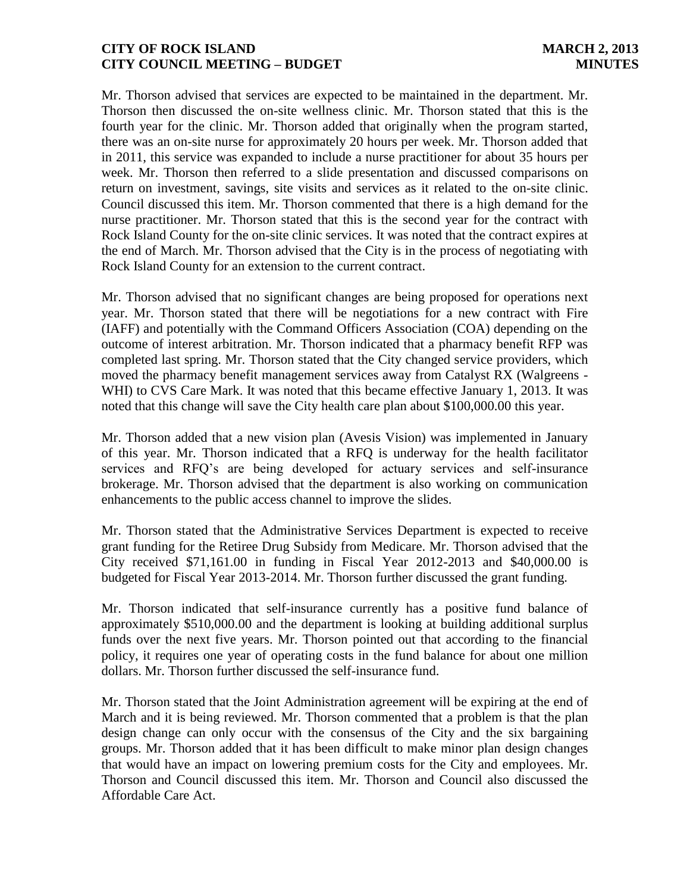Mr. Thorson advised that services are expected to be maintained in the department. Mr. Thorson then discussed the on-site wellness clinic. Mr. Thorson stated that this is the fourth year for the clinic. Mr. Thorson added that originally when the program started, there was an on-site nurse for approximately 20 hours per week. Mr. Thorson added that in 2011, this service was expanded to include a nurse practitioner for about 35 hours per week. Mr. Thorson then referred to a slide presentation and discussed comparisons on return on investment, savings, site visits and services as it related to the on-site clinic. Council discussed this item. Mr. Thorson commented that there is a high demand for the nurse practitioner. Mr. Thorson stated that this is the second year for the contract with Rock Island County for the on-site clinic services. It was noted that the contract expires at the end of March. Mr. Thorson advised that the City is in the process of negotiating with Rock Island County for an extension to the current contract.

Mr. Thorson advised that no significant changes are being proposed for operations next year. Mr. Thorson stated that there will be negotiations for a new contract with Fire (IAFF) and potentially with the Command Officers Association (COA) depending on the outcome of interest arbitration. Mr. Thorson indicated that a pharmacy benefit RFP was completed last spring. Mr. Thorson stated that the City changed service providers, which moved the pharmacy benefit management services away from Catalyst RX (Walgreens - WHI) to CVS Care Mark. It was noted that this became effective January 1, 2013. It was noted that this change will save the City health care plan about \$100,000.00 this year.

Mr. Thorson added that a new vision plan (Avesis Vision) was implemented in January of this year. Mr. Thorson indicated that a RFQ is underway for the health facilitator services and RFQ's are being developed for actuary services and self-insurance brokerage. Mr. Thorson advised that the department is also working on communication enhancements to the public access channel to improve the slides.

Mr. Thorson stated that the Administrative Services Department is expected to receive grant funding for the Retiree Drug Subsidy from Medicare. Mr. Thorson advised that the City received \$71,161.00 in funding in Fiscal Year 2012-2013 and \$40,000.00 is budgeted for Fiscal Year 2013-2014. Mr. Thorson further discussed the grant funding.

Mr. Thorson indicated that self-insurance currently has a positive fund balance of approximately \$510,000.00 and the department is looking at building additional surplus funds over the next five years. Mr. Thorson pointed out that according to the financial policy, it requires one year of operating costs in the fund balance for about one million dollars. Mr. Thorson further discussed the self-insurance fund.

Mr. Thorson stated that the Joint Administration agreement will be expiring at the end of March and it is being reviewed. Mr. Thorson commented that a problem is that the plan design change can only occur with the consensus of the City and the six bargaining groups. Mr. Thorson added that it has been difficult to make minor plan design changes that would have an impact on lowering premium costs for the City and employees. Mr. Thorson and Council discussed this item. Mr. Thorson and Council also discussed the Affordable Care Act.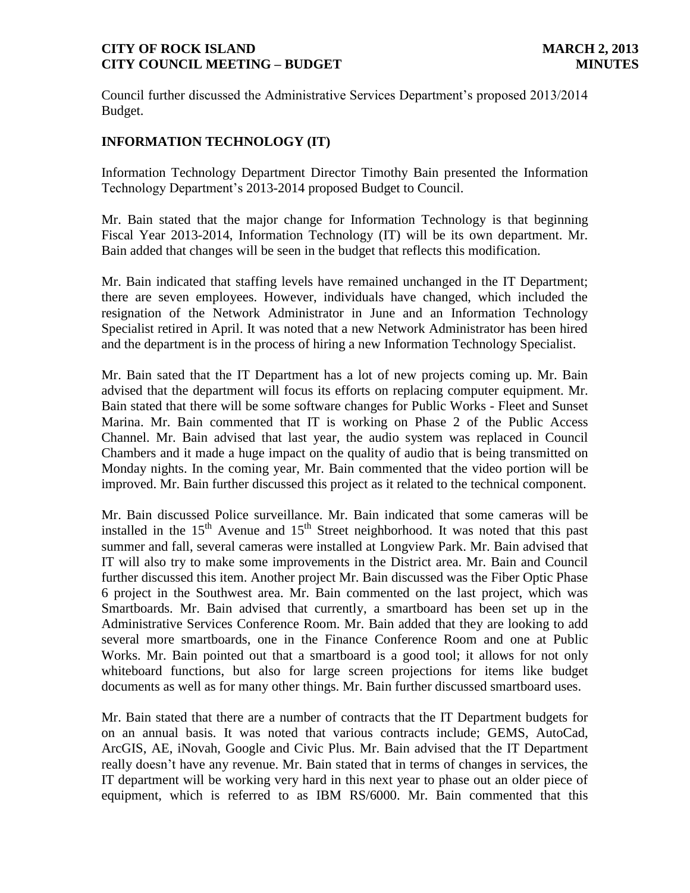Council further discussed the Administrative Services Department's proposed 2013/2014 Budget.

# **INFORMATION TECHNOLOGY (IT)**

Information Technology Department Director Timothy Bain presented the Information Technology Department's 2013-2014 proposed Budget to Council.

Mr. Bain stated that the major change for Information Technology is that beginning Fiscal Year 2013-2014, Information Technology (IT) will be its own department. Mr. Bain added that changes will be seen in the budget that reflects this modification.

Mr. Bain indicated that staffing levels have remained unchanged in the IT Department; there are seven employees. However, individuals have changed, which included the resignation of the Network Administrator in June and an Information Technology Specialist retired in April. It was noted that a new Network Administrator has been hired and the department is in the process of hiring a new Information Technology Specialist.

Mr. Bain sated that the IT Department has a lot of new projects coming up. Mr. Bain advised that the department will focus its efforts on replacing computer equipment. Mr. Bain stated that there will be some software changes for Public Works - Fleet and Sunset Marina. Mr. Bain commented that IT is working on Phase 2 of the Public Access Channel. Mr. Bain advised that last year, the audio system was replaced in Council Chambers and it made a huge impact on the quality of audio that is being transmitted on Monday nights. In the coming year, Mr. Bain commented that the video portion will be improved. Mr. Bain further discussed this project as it related to the technical component.

Mr. Bain discussed Police surveillance. Mr. Bain indicated that some cameras will be installed in the  $15<sup>th</sup>$  Avenue and  $15<sup>th</sup>$  Street neighborhood. It was noted that this past summer and fall, several cameras were installed at Longview Park. Mr. Bain advised that IT will also try to make some improvements in the District area. Mr. Bain and Council further discussed this item. Another project Mr. Bain discussed was the Fiber Optic Phase 6 project in the Southwest area. Mr. Bain commented on the last project, which was Smartboards. Mr. Bain advised that currently, a smartboard has been set up in the Administrative Services Conference Room. Mr. Bain added that they are looking to add several more smartboards, one in the Finance Conference Room and one at Public Works. Mr. Bain pointed out that a smartboard is a good tool; it allows for not only whiteboard functions, but also for large screen projections for items like budget documents as well as for many other things. Mr. Bain further discussed smartboard uses.

Mr. Bain stated that there are a number of contracts that the IT Department budgets for on an annual basis. It was noted that various contracts include; GEMS, AutoCad, ArcGIS, AE, iNovah, Google and Civic Plus. Mr. Bain advised that the IT Department really doesn't have any revenue. Mr. Bain stated that in terms of changes in services, the IT department will be working very hard in this next year to phase out an older piece of equipment, which is referred to as IBM RS/6000. Mr. Bain commented that this